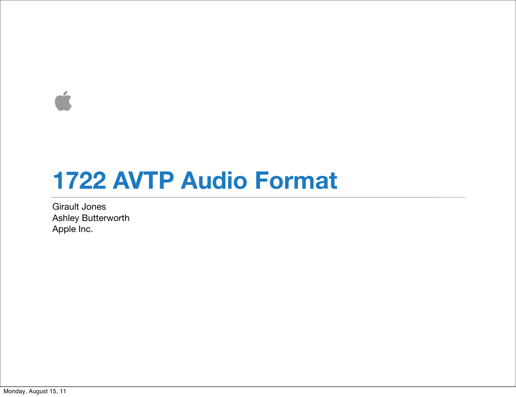$\overrightarrow{a}$ 

### **1722 AVTP Audio Format**

Girault Jones Ashley Butterworth Apple Inc.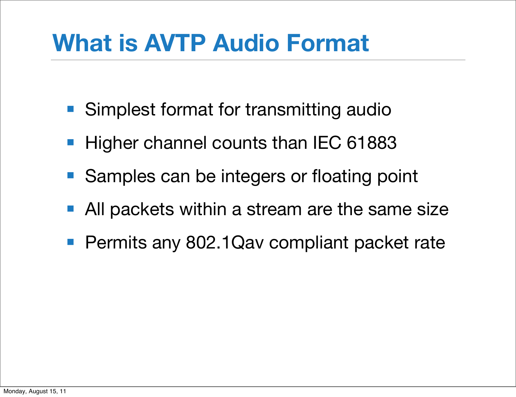## **What is AVTP Audio Format**

- Simplest format for transmitting audio
- Higher channel counts than IEC 61883
- Samples can be integers or floating point
- All packets within a stream are the same size
- Permits any 802.1Qav compliant packet rate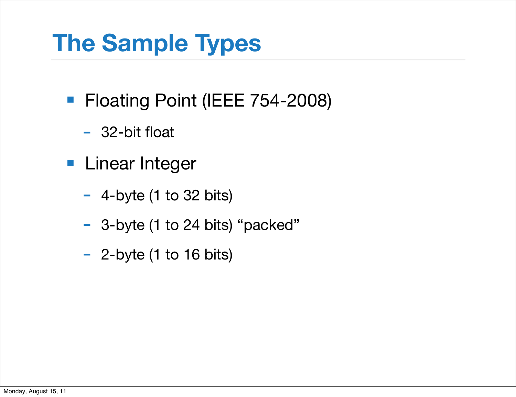# **The Sample Types**

- Floating Point (IEEE 754-2008)
	- 32-bit float
- Linear Integer
	- $-$  4-byte (1 to 32 bits)
	- 3-byte (1 to 24 bits) "packed"
	- 2-byte (1 to 16 bits)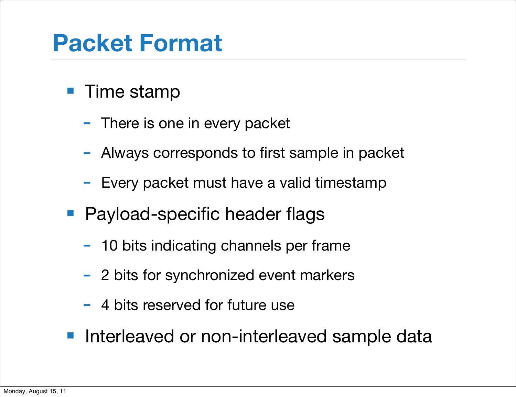## **Packet Format**

- Time stamp
	- There is one in every packet
	- Always corresponds to first sample in packet
	- Every packet must have a valid timestamp
- Payload-specific header flags
	- 10 bits indicating channels per frame
	- 2 bits for synchronized event markers
	- 4 bits reserved for future use
- Interleaved or non-interleaved sample data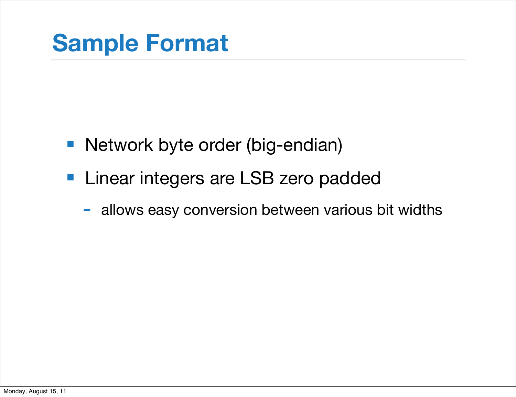- Network byte order (big-endian)
- Linear integers are LSB zero padded
	- allows easy conversion between various bit widths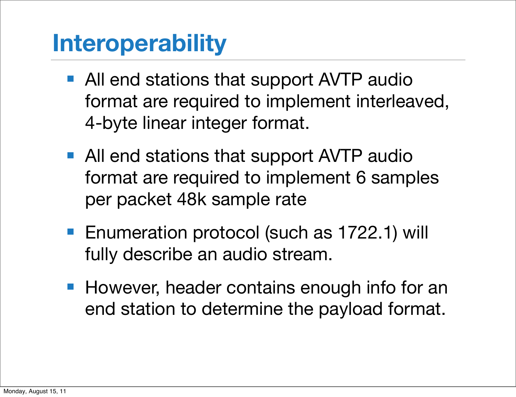## **Interoperability**

- All end stations that support AVTP audio format are required to implement interleaved, 4-byte linear integer format.
- All end stations that support AVTP audio format are required to implement 6 samples per packet 48k sample rate
- Enumeration protocol (such as 1722.1) will fully describe an audio stream.
- However, header contains enough info for an end station to determine the payload format.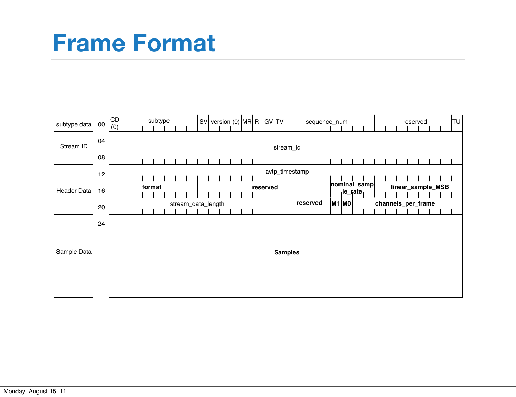#### **Frame Format**

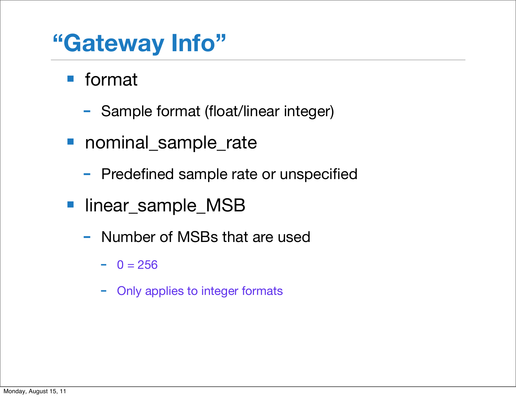## **"Gateway Info"**

■ format

- Sample format (float/linear integer)
- nominal\_sample\_rate
	- Predefined sample rate or unspecified
- linear\_sample\_MSB
	- Number of MSBs that are used
		- $0 = 256$
		- Only applies to integer formats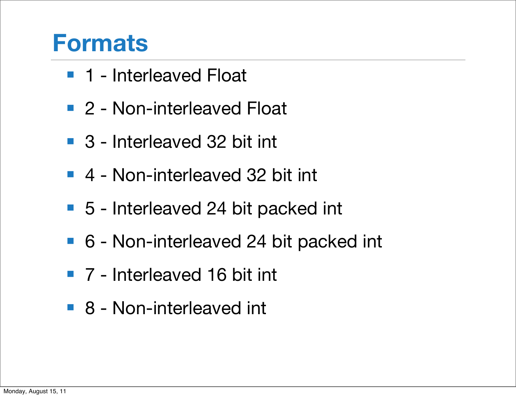#### **Formats**

- 1 Interleaved Float
- 2 Non-interleaved Float
- 3 Interleaved 32 bit int
- 4 Non-interleaved 32 bit int
- 5 Interleaved 24 bit packed int
- 6 Non-interleaved 24 bit packed int
- 7 Interleaved 16 bit int
- 8 Non-interleaved int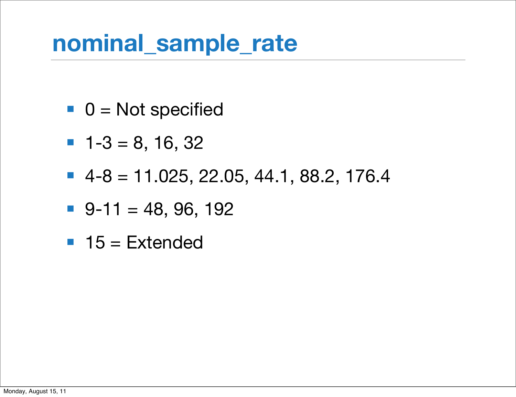### **nominal\_sample\_rate**

- $\blacksquare$  0 = Not specified
- $-1-3 = 8, 16, 32$
- $-4-8 = 11.025, 22.05, 44.1, 88.2, 176.4$
- $\blacksquare$  9-11 = 48, 96, 192
- $\blacksquare$  15 = Extended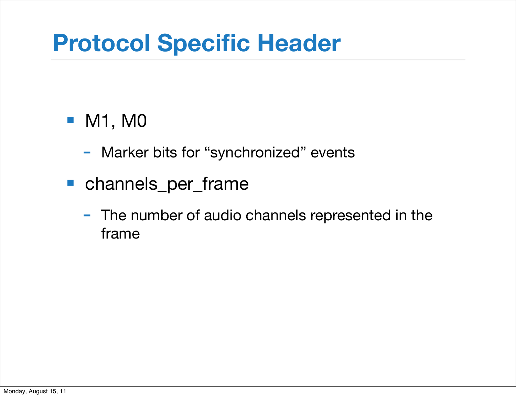## **Protocol Specific Header**

#### ■ M1, M0

- Marker bits for "synchronized" events
- channels\_per\_frame
	- The number of audio channels represented in the frame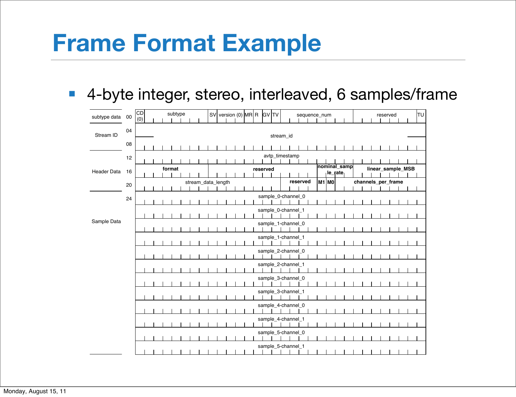### **Frame Format Example**

■ 4-byte integer, stereo, interleaved, 6 samples/frame